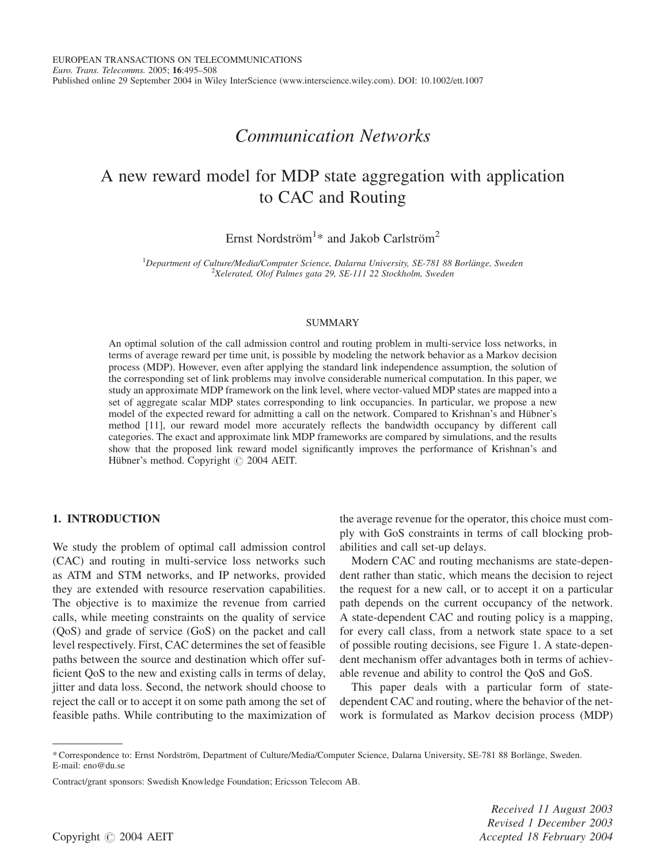# Communication Networks

# A new reward model for MDP state aggregation with application to CAC and Routing

# Ernst Nordström<sup>1</sup>\* and Jakob Carlström<sup>2</sup>

<sup>1</sup>Department of Culture/Media/Computer Science, Dalarna University, SE-781 88 Borlänge, Sweden <sup>2</sup>Yelerated, Olof Palmes asta 29, SE 111.22 Stockholm, Sweden  $2Xelerated, Olof$  Palmes gata 29, SE-111 22 Stockholm, Sweden

#### SUMMARY

An optimal solution of the call admission control and routing problem in multi-service loss networks, in terms of average reward per time unit, is possible by modeling the network behavior as a Markov decision process (MDP). However, even after applying the standard link independence assumption, the solution of the corresponding set of link problems may involve considerable numerical computation. In this paper, we study an approximate MDP framework on the link level, where vector-valued MDP states are mapped into a set of aggregate scalar MDP states corresponding to link occupancies. In particular, we propose a new model of the expected reward for admitting a call on the network. Compared to Krishnan's and Hübner's method [11], our reward model more accurately reflects the bandwidth occupancy by different call categories. The exact and approximate link MDP frameworks are compared by simulations, and the results show that the proposed link reward model significantly improves the performance of Krishnan's and Hübner's method. Copyright  $\odot$  2004 AEIT.

# 1. INTRODUCTION

We study the problem of optimal call admission control (CAC) and routing in multi-service loss networks such as ATM and STM networks, and IP networks, provided they are extended with resource reservation capabilities. The objective is to maximize the revenue from carried calls, while meeting constraints on the quality of service (QoS) and grade of service (GoS) on the packet and call level respectively. First, CAC determines the set of feasible paths between the source and destination which offer sufficient QoS to the new and existing calls in terms of delay, jitter and data loss. Second, the network should choose to reject the call or to accept it on some path among the set of feasible paths. While contributing to the maximization of the average revenue for the operator, this choice must comply with GoS constraints in terms of call blocking probabilities and call set-up delays.

Modern CAC and routing mechanisms are state-dependent rather than static, which means the decision to reject the request for a new call, or to accept it on a particular path depends on the current occupancy of the network. A state-dependent CAC and routing policy is a mapping, for every call class, from a network state space to a set of possible routing decisions, see Figure 1. A state-dependent mechanism offer advantages both in terms of achievable revenue and ability to control the QoS and GoS.

This paper deals with a particular form of statedependent CAC and routing, where the behavior of the network is formulated as Markov decision process (MDP)

Received 11 August 2003 Revised 1 December 2003 Copyright  $\odot$  2004 AEIT Accepted 18 February 2004

<sup>\*</sup> Correspondence to: Ernst Nordström, Department of Culture/Media/Computer Science, Dalarna University, SE-781 88 Borlänge, Sweden. E-mail: eno@du.se

Contract/grant sponsors: Swedish Knowledge Foundation; Ericsson Telecom AB.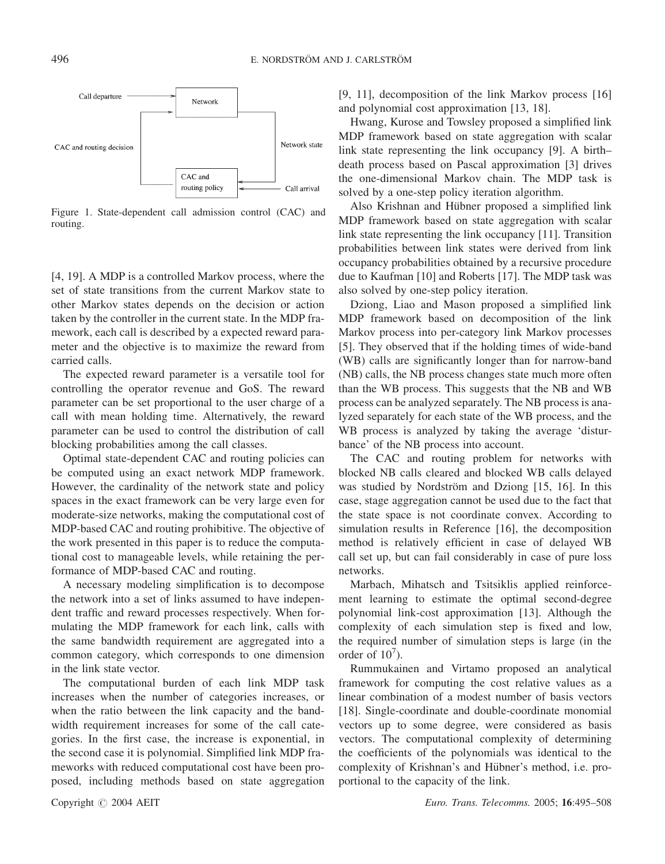

Figure 1. State-dependent call admission control (CAC) and routing.

[4, 19]. A MDP is a controlled Markov process, where the set of state transitions from the current Markov state to other Markov states depends on the decision or action taken by the controller in the current state. In the MDP framework, each call is described by a expected reward parameter and the objective is to maximize the reward from carried calls.

The expected reward parameter is a versatile tool for controlling the operator revenue and GoS. The reward parameter can be set proportional to the user charge of a call with mean holding time. Alternatively, the reward parameter can be used to control the distribution of call blocking probabilities among the call classes.

Optimal state-dependent CAC and routing policies can be computed using an exact network MDP framework. However, the cardinality of the network state and policy spaces in the exact framework can be very large even for moderate-size networks, making the computational cost of MDP-based CAC and routing prohibitive. The objective of the work presented in this paper is to reduce the computational cost to manageable levels, while retaining the performance of MDP-based CAC and routing.

A necessary modeling simplification is to decompose the network into a set of links assumed to have independent traffic and reward processes respectively. When formulating the MDP framework for each link, calls with the same bandwidth requirement are aggregated into a common category, which corresponds to one dimension in the link state vector.

The computational burden of each link MDP task increases when the number of categories increases, or when the ratio between the link capacity and the bandwidth requirement increases for some of the call categories. In the first case, the increase is exponential, in the second case it is polynomial. Simplified link MDP frameworks with reduced computational cost have been proposed, including methods based on state aggregation

[9, 11], decomposition of the link Markov process [16] and polynomial cost approximation [13, 18].

Hwang, Kurose and Towsley proposed a simplified link MDP framework based on state aggregation with scalar link state representing the link occupancy [9]. A birth– death process based on Pascal approximation [3] drives the one-dimensional Markov chain. The MDP task is solved by a one-step policy iteration algorithm.

Also Krishnan and Hübner proposed a simplified link MDP framework based on state aggregation with scalar link state representing the link occupancy [11]. Transition probabilities between link states were derived from link occupancy probabilities obtained by a recursive procedure due to Kaufman [10] and Roberts [17]. The MDP task was also solved by one-step policy iteration.

Dziong, Liao and Mason proposed a simplified link MDP framework based on decomposition of the link Markov process into per-category link Markov processes [5]. They observed that if the holding times of wide-band (WB) calls are significantly longer than for narrow-band (NB) calls, the NB process changes state much more often than the WB process. This suggests that the NB and WB process can be analyzed separately. The NB process is analyzed separately for each state of the WB process, and the WB process is analyzed by taking the average 'disturbance' of the NB process into account.

The CAC and routing problem for networks with blocked NB calls cleared and blocked WB calls delayed was studied by Nordström and Dziong [15, 16]. In this case, stage aggregation cannot be used due to the fact that the state space is not coordinate convex. According to simulation results in Reference [16], the decomposition method is relatively efficient in case of delayed WB call set up, but can fail considerably in case of pure loss networks.

Marbach, Mihatsch and Tsitsiklis applied reinforcement learning to estimate the optimal second-degree polynomial link-cost approximation [13]. Although the complexity of each simulation step is fixed and low, the required number of simulation steps is large (in the order of  $10^7$ ).

Rummukainen and Virtamo proposed an analytical framework for computing the cost relative values as a linear combination of a modest number of basis vectors [18]. Single-coordinate and double-coordinate monomial vectors up to some degree, were considered as basis vectors. The computational complexity of determining the coefficients of the polynomials was identical to the complexity of Krishnan's and Hübner's method, i.e. proportional to the capacity of the link.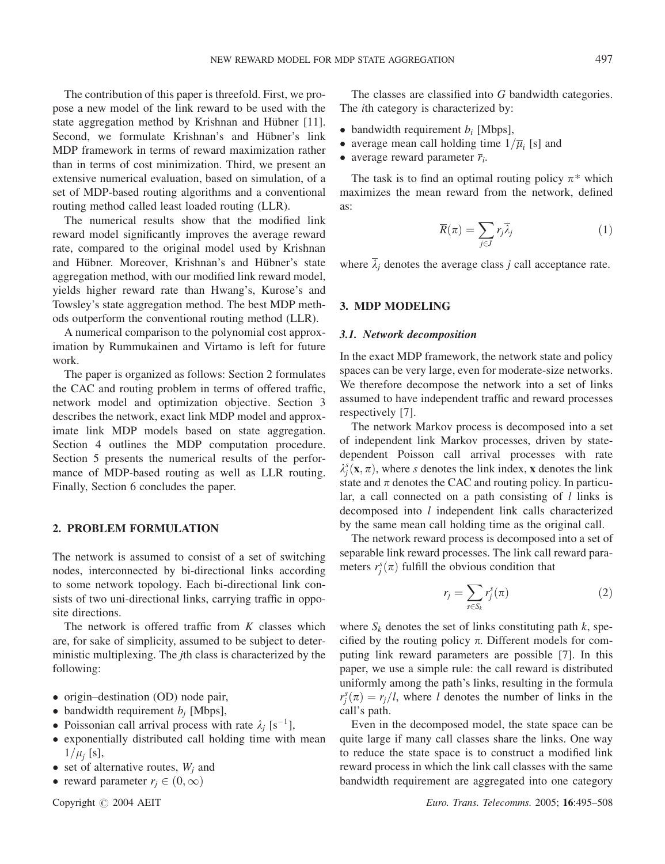The contribution of this paper is threefold. First, we propose a new model of the link reward to be used with the state aggregation method by Krishnan and Hübner [11]. Second, we formulate Krishnan's and Hübner's link MDP framework in terms of reward maximization rather than in terms of cost minimization. Third, we present an extensive numerical evaluation, based on simulation, of a set of MDP-based routing algorithms and a conventional routing method called least loaded routing (LLR).

The numerical results show that the modified link reward model significantly improves the average reward rate, compared to the original model used by Krishnan and Hübner. Moreover, Krishnan's and Hübner's state aggregation method, with our modified link reward model, yields higher reward rate than Hwang's, Kurose's and Towsley's state aggregation method. The best MDP methods outperform the conventional routing method (LLR).

A numerical comparison to the polynomial cost approximation by Rummukainen and Virtamo is left for future work.

The paper is organized as follows: Section 2 formulates the CAC and routing problem in terms of offered traffic, network model and optimization objective. Section 3 describes the network, exact link MDP model and approximate link MDP models based on state aggregation. Section 4 outlines the MDP computation procedure. Section 5 presents the numerical results of the performance of MDP-based routing as well as LLR routing. Finally, Section 6 concludes the paper.

# 2. PROBLEM FORMULATION

The network is assumed to consist of a set of switching nodes, interconnected by bi-directional links according to some network topology. Each bi-directional link consists of two uni-directional links, carrying traffic in opposite directions.

The network is offered traffic from  $K$  classes which are, for sake of simplicity, assumed to be subject to deterministic multiplexing. The jth class is characterized by the following:

- origin–destination (OD) node pair,
- bandwidth requirement  $b_i$  [Mbps],
- Poissonian call arrival process with rate  $\lambda_j$  [s<sup>-1</sup>],
- exponentially distributed call holding time with mean  $1/\mu_i$  [s],
- $\bullet$  set of alternative routes,  $W_i$  and
- reward parameter  $r_i \in (0, \infty)$

The classes are classified into G bandwidth categories. The ith category is characterized by:

- $\bullet$  bandwidth requirement  $b_i$  [Mbps],
- average mean call holding time  $1/\overline{\mu}_i$  [s] and
- average reward parameter  $\overline{r_i}$ .

The task is to find an optimal routing policy  $\pi^*$  which maximizes the mean reward from the network, defined as:

$$
\overline{R}(\pi) = \sum_{j \in J} r_j \overline{\lambda}_j \tag{1}
$$

where  $\overline{\lambda}_i$  denotes the average class j call acceptance rate.

# 3. MDP MODELING

# 3.1. Network decomposition

In the exact MDP framework, the network state and policy spaces can be very large, even for moderate-size networks. We therefore decompose the network into a set of links assumed to have independent traffic and reward processes respectively [7].

The network Markov process is decomposed into a set of independent link Markov processes, driven by statedependent Poisson call arrival processes with rate  $\lambda_j^s(\mathbf{x}, \pi)$ , where s denotes the link index, x denotes the link state and  $\pi$  denotes the CAC and routing policy. In particular, a call connected on a path consisting of  $l$  links is decomposed into l independent link calls characterized by the same mean call holding time as the original call.

The network reward process is decomposed into a set of separable link reward processes. The link call reward parameters  $r_j^s(\pi)$  fulfill the obvious condition that

$$
r_j = \sum_{s \in S_k} r_j^s(\pi) \tag{2}
$$

where  $S_k$  denotes the set of links constituting path k, specified by the routing policy  $\pi$ . Different models for computing link reward parameters are possible [7]. In this paper, we use a simple rule: the call reward is distributed uniformly among the path's links, resulting in the formula  $r_j^s(\pi) = r_j/l$ , where l denotes the number of links in the call's path.

Even in the decomposed model, the state space can be quite large if many call classes share the links. One way to reduce the state space is to construct a modified link reward process in which the link call classes with the same bandwidth requirement are aggregated into one category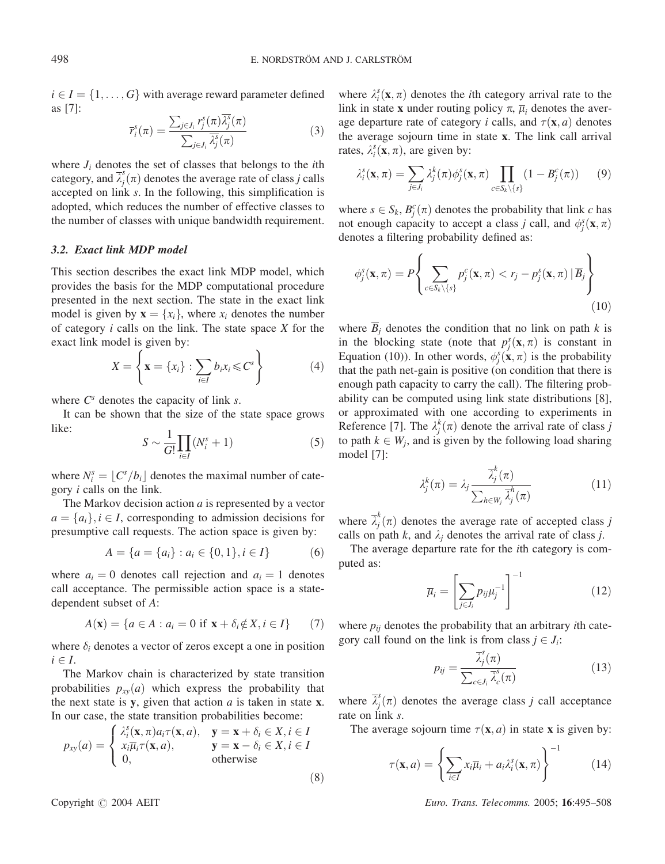$i \in I = \{1, \ldots, G\}$  with average reward parameter defined as [7]:  $\overline{a}$ 

$$
\overline{r}_{i}^{s}(\pi) = \frac{\sum_{j \in J_{i}} r_{j}^{s}(\pi) \overline{\lambda_{j}^{s}}(\pi)}{\sum_{j \in J_{i}} \overline{\lambda_{j}^{s}}(\pi)}
$$
(3)

where  $J_i$  denotes the set of classes that belongs to the *i*th category, and  $\overline{\lambda}_j^s(\pi)$  denotes the average rate of class j calls accepted on link s. In the following, this simplification is adopted, which reduces the number of effective classes to the number of classes with unique bandwidth requirement.

#### 3.2. Exact link MDP model

This section describes the exact link MDP model, which provides the basis for the MDP computational procedure presented in the next section. The state in the exact link model is given by  $\mathbf{x} = \{x_i\}$ , where  $x_i$  denotes the number of category  $i$  calls on the link. The state space  $X$  for the  $\frac{1}{2}$  exact link model is given by:

$$
X = \left\{ \mathbf{x} = \{x_i\} : \sum_{i \in I} b_i x_i \leq C^s \right\}
$$
 (4)

where  $C<sup>s</sup>$  denotes the capacity of link s.

It can be shown that the size of the state space grows like:

$$
S \sim \frac{1}{G!} \prod_{i \in I} (N_i^s + 1) \tag{5}
$$

where  $N_i^s = \lfloor C^s/b_i \rfloor$  denotes the maximal number of category i calls on the link.

The Markov decision action  $a$  is represented by a vector  $a = \{a_i\}, i \in I$ , corresponding to admission decisions for presumptive call requests. The action space is given by:

$$
A = \{a = \{a_i\} : a_i \in \{0, 1\}, i \in I\}
$$
 (6)

where  $a_i = 0$  denotes call rejection and  $a_i = 1$  denotes call acceptance. The permissible action space is a statedependent subset of A:

$$
A(\mathbf{x}) = \{a \in A : a_i = 0 \text{ if } \mathbf{x} + \delta_i \notin X, i \in I\}
$$
 (7)

where  $\delta_i$  denotes a vector of zeros except a one in position  $i \in I$ .

The Markov chain is characterized by state transition probabilities  $p_{xy}(a)$  which express the probability that the next state is  $y$ , given that action  $a$  is taken in state  $x$ . In our case, the state transition probabilities become:

$$
p_{xy}(a) = \begin{cases} \n\lambda_i^s(\mathbf{x}, \pi) a_i \tau(\mathbf{x}, a), & \mathbf{y} = \mathbf{x} + \delta_i \in X, i \in I \\
x_i \overline{\mu}_i \tau(\mathbf{x}, a), & \mathbf{y} = \mathbf{x} - \delta_i \in X, i \in I \\
0, & \text{otherwise}\n\end{cases}
$$
\n(8)

where  $\lambda_i^s(\mathbf{x}, \pi)$  denotes the *i*th category arrival rate to the link in state **x** under routing policy  $\pi$ ,  $\overline{\mu}_i$  denotes the average departure rate of category *i* calls, and  $\tau(\mathbf{x}, a)$  denotes the average sojourn time in state x. The link call arrival rates,  $\lambda_i^s(\mathbf{x}, \pi)$ , are given by:

$$
\lambda_i^s(\mathbf{x}, \pi) = \sum_{j \in J_i} \lambda_j^k(\pi) \phi_j^s(\mathbf{x}, \pi) \prod_{c \in S_k \setminus \{s\}} (1 - B_j^c(\pi)) \tag{9}
$$

where  $s \in S_k$ ,  $B_j^c(\pi)$  denotes the probability that link c has not enough capacity to accept a class j call, and  $\phi_j^s(\mathbf{x}, \pi)$ denotes a filtering probability defined as:

$$
\phi_j^s(\mathbf{x}, \pi) = P\left\{\sum_{c \in S_k \setminus \{s\}} p_j^c(\mathbf{x}, \pi) < r_j - p_j^s(\mathbf{x}, \pi) \,|\, \overline{B}_j\right\} \tag{10}
$$

where  $\overline{B}_i$  denotes the condition that no link on path k is in the blocking state (note that  $p_j^s(\mathbf{x}, \pi)$  is constant in Equation (10)). In other words,  $\phi_j^s(\mathbf{x}, \pi)$  is the probability that the path net-gain is positive (on condition that there is enough path capacity to carry the call). The filtering probability can be computed using link state distributions [8], or approximated with one according to experiments in Reference [7]. The  $\lambda_j^k(\pi)$  denote the arrival rate of class j to path  $k \in W_i$ , and is given by the following load sharing model [7]:

$$
\lambda_j^k(\pi) = \lambda_j \frac{\overline{\lambda}_j^k(\pi)}{\sum_{h \in W_j} \overline{\lambda}_j^h(\pi)}
$$
(11)

where  $\overline{\lambda}_{j}^{k}(\pi)$  denotes the average rate of accepted class j calls on path k, and  $\lambda_j$  denotes the arrival rate of class j.

The average departure rate for the ith category is computed as:

$$
\overline{\mu}_i = \left[ \sum_{j \in J_i} p_{ij} \mu_j^{-1} \right]^{-1} \tag{12}
$$

where  $p_{ij}$  denotes the probability that an arbitrary *i*th category call found on the link is from class  $j \in J_i$ :

$$
p_{ij} = \frac{\overline{\lambda}_j^s(\pi)}{\sum_{c \in J_i} \overline{\lambda}_c^s(\pi)}
$$
(13)

where  $\overline{\lambda}_{j}^{s}(\pi)$  denotes the average class j call acceptance rate on link s.

The average sojourn time  $\tau(\mathbf{x}, a)$  in state **x** is given by:

$$
\tau(\mathbf{x}, a) = \left\{ \sum_{i \in I} x_i \overline{\mu}_i + a_i \lambda_i^s(\mathbf{x}, \pi) \right\}^{-1}
$$
(14)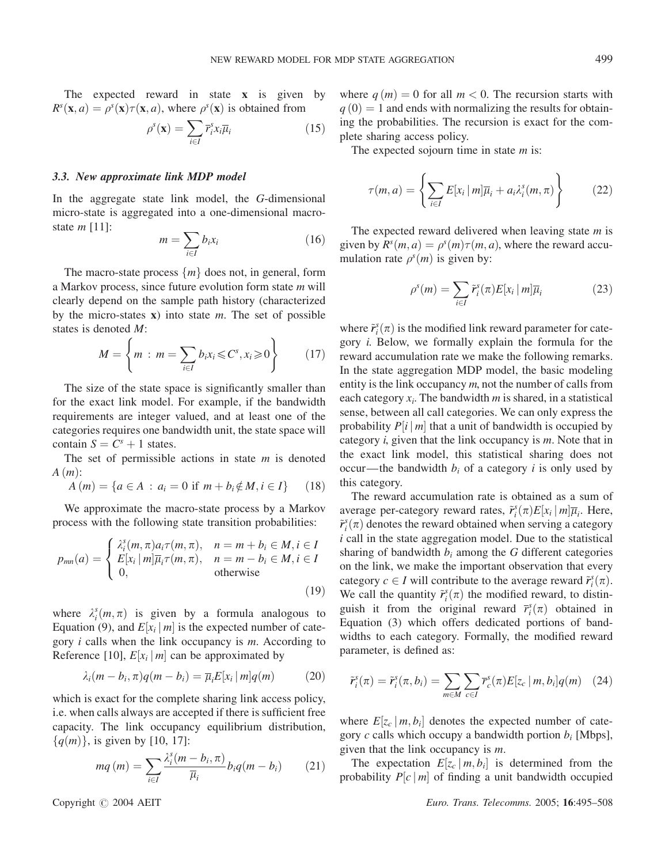The expected reward in state **x** is given by  $R^{s}(\mathbf{x}, a) = \rho^{s}(\mathbf{x}) \tau(\mathbf{x}, a)$ , where  $\rho^{s}(\mathbf{x})$  is obtained from

$$
\rho^s(\mathbf{x}) = \sum_{i \in I} \overline{r}_i^s x_i \overline{\mu}_i \tag{15}
$$

#### 3.3. New approximate link MDP model

In the aggregate state link model, the G-dimensional micro-state is aggregated into a one-dimensional macrostate  $m$  [11]:

$$
m = \sum_{i \in I} b_i x_i \tag{16}
$$

The macro-state process  $\{m\}$  does not, in general, form a Markov process, since future evolution form state m will clearly depend on the sample path history (characterized by the micro-states  $x$ ) into state m. The set of possible states is denoted M:

$$
M = \left\{ m : m = \sum_{i \in I} b_i x_i \leq C^s, x_i \geq 0 \right\}
$$
 (17)

The size of the state space is significantly smaller than for the exact link model. For example, if the bandwidth requirements are integer valued, and at least one of the categories requires one bandwidth unit, the state space will contain  $S = C<sup>s</sup> + 1$  states.

The set of permissible actions in state  $m$  is denoted  $A(m)$ :

$$
A(m) = \{a \in A : a_i = 0 \text{ if } m + b_i \notin M, i \in I\} \tag{18}
$$

We approximate the macro-state process by a Markov process with the following state transition probabilities:

$$
p_{mn}(a) = \begin{cases} \n\lambda_i^s(m,\pi)a_i\tau(m,\pi), & n = m + b_i \in M, i \in I \\
E[x_i \mid m]\overline{\mu}_i\tau(m,\pi), & n = m - b_i \in M, i \in I \\
0, & \text{otherwise}\n\end{cases} \tag{19}
$$

where  $\lambda_i^s(m, \pi)$  is given by a formula analogous to Equation (9), and  $E[x_i | m]$  is the expected number of category  $i$  calls when the link occupancy is  $m$ . According to Reference [10],  $E[x_i | m]$  can be approximated by

$$
\lambda_i(m - b_i, \pi)q(m - b_i) = \overline{\mu}_i E[x_i \,|\, m]q(m) \tag{20}
$$

which is exact for the complete sharing link access policy, i.e. when calls always are accepted if there is sufficient free capacity. The link occupancy equilibrium distribution,  $\{q(m)\}\$ , is given by [10, 17]:

$$
mq(m) = \sum_{i \in I} \frac{\lambda_i^s(m - b_i, \pi)}{\overline{\mu}_i} b_i q(m - b_i)
$$
 (21)

where  $q(m) = 0$  for all  $m < 0$ . The recursion starts with  $q(0) = 1$  and ends with normalizing the results for obtaining the probabilities. The recursion is exact for the complete sharing access policy.

The expected sojourn time in state  $m$  is:

$$
\tau(m, a) = \left\{ \sum_{i \in I} E[x_i \mid m] \overline{\mu}_i + a_i \lambda_i^s(m, \pi) \right\} \tag{22}
$$

The expected reward delivered when leaving state  $m$  is given by  $R^s(m, a) = \rho^s(m) \tau(m, a)$ , where the reward accumulation rate  $\rho^{s}(m)$  is given by:

$$
\rho^{s}(m) = \sum_{i \in I} \tilde{r}_{i}^{s}(\pi) E[x_{i} | m] \overline{\mu}_{i}
$$
 (23)

where  $\tilde{r}_i^s(\pi)$  is the modified link reward parameter for category i. Below, we formally explain the formula for the reward accumulation rate we make the following remarks. In the state aggregation MDP model, the basic modeling entity is the link occupancy m, not the number of calls from each category  $x_i$ . The bandwidth m is shared, in a statistical sense, between all call categories. We can only express the probability  $P[i|m]$  that a unit of bandwidth is occupied by category i, given that the link occupancy is m. Note that in the exact link model, this statistical sharing does not occur—the bandwidth  $b_i$  of a category i is only used by this category.

The reward accumulation rate is obtained as a sum of average per-category reward rates,  $\tilde{r}_i^s(\pi)E[x_i | m]\overline{\mu}_i$ . Here,  $\tilde{r}_i^s(\pi)$  denotes the reward obtained when serving a category  $i$  call in the state aggregation model. Due to the statistical sharing of bandwidth  $b_i$  among the G different categories on the link, we make the important observation that every category  $c \in I$  will contribute to the average reward  $\tilde{r}_i^s(\pi)$ . We call the quantity  $\tilde{r}_i^s(\pi)$  the modified reward, to distinguish it from the original reward  $\overline{r}_i^s(\pi)$  obtained in Equation (3) which offers dedicated portions of bandwidths to each category. Formally, the modified reward parameter, is defined as:

$$
\tilde{r}_i^s(\pi) = \tilde{r}_i^s(\pi, b_i) = \sum_{m \in M} \sum_{c \in I} \overline{r}_c^s(\pi) E[z_c | m, b_i] q(m) \quad (24)
$$

where  $E[z_c | m, b_i]$  denotes the expected number of category c calls which occupy a bandwidth portion  $b_i$  [Mbps], given that the link occupancy is  $m$ .

The expectation  $E[z_c | m, b_i]$  is determined from the probability  $P[c | m]$  of finding a unit bandwidth occupied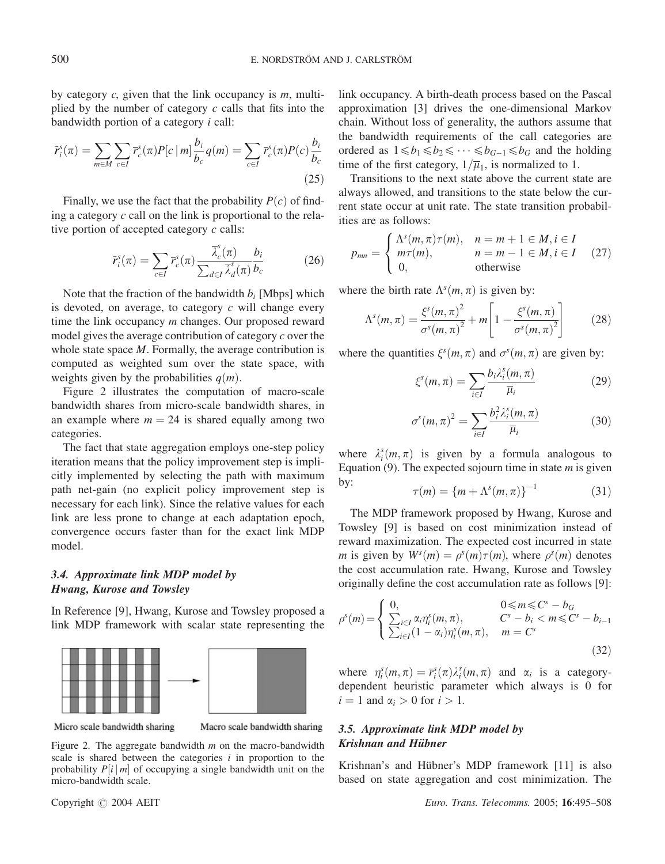by category  $c$ , given that the link occupancy is  $m$ , multiplied by the number of category  $c$  calls that fits into the bandwidth portion of a category  $i$  call:

$$
\tilde{r}_i^s(\pi) = \sum_{m \in M} \sum_{c \in I} \overline{r}_c^s(\pi) P[c \mid m] \frac{b_i}{b_c} q(m) = \sum_{c \in I} \overline{r}_c^s(\pi) P(c) \frac{b_i}{b_c}
$$
\n(25)

Finally, we use the fact that the probability  $P(c)$  of finding a category c call on the link is proportional to the relative portion of accepted category  $c$  calls:

$$
\tilde{r}_i^s(\pi) = \sum_{c \in I} \overline{r}_c^s(\pi) \frac{\overline{\lambda}_c^s(\pi)}{\sum_{d \in I} \overline{\lambda}_d^s(\pi)} \frac{b_i}{b_c} \tag{26}
$$

Note that the fraction of the bandwidth  $b_i$  [Mbps] which is devoted, on average, to category  $c$  will change every time the link occupancy *m* changes. Our proposed reward model gives the average contribution of category c over the whole state space  $M$ . Formally, the average contribution is computed as weighted sum over the state space, with weights given by the probabilities  $q(m)$ .

Figure 2 illustrates the computation of macro-scale bandwidth shares from micro-scale bandwidth shares, in an example where  $m = 24$  is shared equally among two categories.

The fact that state aggregation employs one-step policy iteration means that the policy improvement step is implicitly implemented by selecting the path with maximum path net-gain (no explicit policy improvement step is necessary for each link). Since the relative values for each link are less prone to change at each adaptation epoch, convergence occurs faster than for the exact link MDP model.

# 3.4. Approximate link MDP model by Hwang, Kurose and Towsley

In Reference [9], Hwang, Kurose and Towsley proposed a link MDP framework with scalar state representing the



Micro scale bandwidth sharing

Macro scale bandwidth sharing

Figure 2. The aggregate bandwidth  $m$  on the macro-bandwidth scale is shared between the categories  $i$  in proportion to the probability  $P[i | m]$  of occupying a single bandwidth unit on the micro-bandwidth scale.

link occupancy. A birth-death process based on the Pascal approximation [3] drives the one-dimensional Markov chain. Without loss of generality, the authors assume that the bandwidth requirements of the call categories are ordered as  $1 \leq b_1 \leq b_2 \leq \cdots \leq b_{G-1} \leq b_G$  and the holding time of the first category,  $1/\overline{\mu}_1$ , is normalized to 1.

Transitions to the next state above the current state are always allowed, and transitions to the state below the current state occur at unit rate. The state transition probabilities are as follows:

$$
p_{mn} = \begin{cases} \Lambda^s(m,\pi)\tau(m), & n = m+1 \in M, i \in I \\ m\tau(m), & n = m-1 \in M, i \in I \\ 0, & \text{otherwise} \end{cases}
$$
 (27)

where the birth rate  $\Lambda^s(m, \pi)$  is given by:

$$
\Lambda^{s}(m,\pi) = \frac{\xi^{s}(m,\pi)^{2}}{\sigma^{s}(m,\pi)^{2}} + m \left[1 - \frac{\xi^{s}(m,\pi)}{\sigma^{s}(m,\pi)^{2}}\right]
$$
(28)

where the quantities  $\xi^{s}(m, \pi)$  and  $\sigma^{s}(m, \pi)$  are given by:

$$
\xi^s(m,\pi) = \sum_{i \in I} \frac{b_i \lambda_i^s(m,\pi)}{\overline{\mu}_i} \tag{29}
$$

$$
\sigma^{s}(m,\pi)^{2} = \sum_{i \in I} \frac{b_{i}^{2} \lambda_{i}^{s}(m,\pi)}{\overline{\mu}_{i}}
$$
(30)

where  $\lambda_i^s(m, \pi)$  is given by a formula analogous to Equation  $(9)$ . The expected sojourn time in state *m* is given by:  $\qquad \qquad$   $\qquad \qquad$   $\qquad \qquad$   $\qquad \qquad$   $\qquad \qquad$   $\qquad \qquad$   $\qquad$   $\qquad \qquad$   $\qquad$   $\qquad \qquad$   $\qquad$   $\qquad$   $\qquad$   $\qquad$   $\qquad$   $\qquad$   $\qquad$   $\qquad$   $\qquad$   $\qquad$   $\qquad$   $\qquad$   $\qquad$   $\qquad$   $\qquad$   $\qquad$   $\qquad$   $\qquad$   $\qquad$   $\qquad$   $\qquad$   $\qquad$   $\Delta s / \Delta r = 1$ 

$$
\tau(m) = \{m + \Lambda^s(m, \pi)\}^{-1} \tag{31}
$$

The MDP framework proposed by Hwang, Kurose and Towsley [9] is based on cost minimization instead of reward maximization. The expected cost incurred in state m is given by  $W^s(m) = \rho^s(m)\tau(m)$ , where  $\rho^s(m)$  denotes the cost accumulation rate. Hwang, Kurose and Towsley originally define the cost accumulation rate as follows [9]:

$$
\rho^{s}(m) = \begin{cases} 0, & 0 \le m \le C^{s} - b_{G} \\ \sum_{i \in I} \alpha_{i} \eta_{i}^{s}(m, \pi), & C^{s} - b_{i} < m \le C^{s} - b_{i-1} \\ \sum_{i \in I} (1 - \alpha_{i}) \eta_{i}^{s}(m, \pi), & m = C^{s} \end{cases}
$$
\n(32)

where  $\eta_i^s(m,\pi) = \overline{r_i^s}(\pi) \lambda_i^s(m,\pi)$  and  $\alpha_i$  is a categorydependent heuristic parameter which always is 0 for  $i = 1$  and  $\alpha_i > 0$  for  $i > 1$ .

# 3.5. Approximate link MDP model by Krishnan and Hübner

Krishnan's and Hübner's MDP framework [11] is also based on state aggregation and cost minimization. The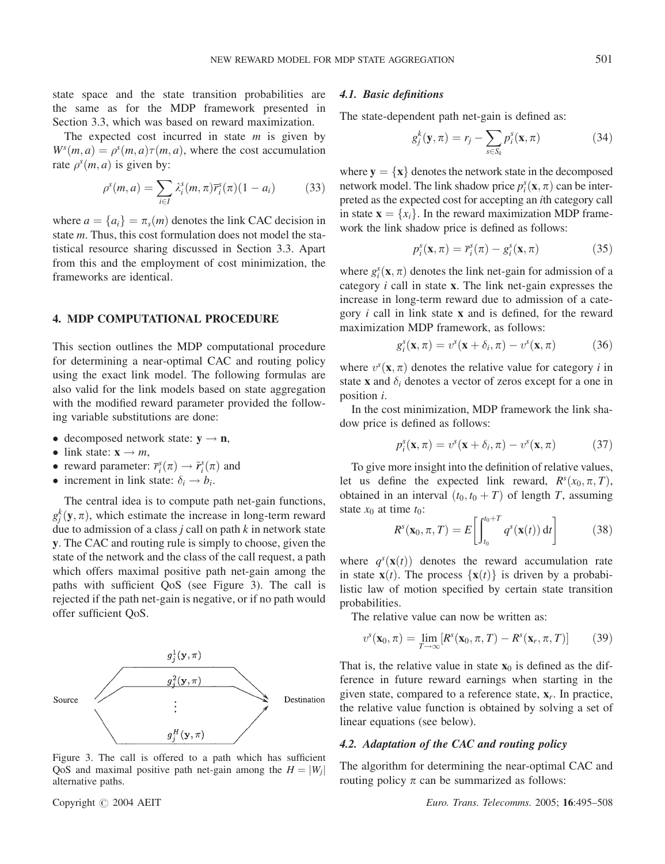state space and the state transition probabilities are the same as for the MDP framework presented in Section 3.3, which was based on reward maximization.

The expected cost incurred in state  $m$  is given by  $W^s(m, a) = \rho^s(m, a)\tau(m, a)$ , where the cost accumulation rate  $\rho^s(m, a)$  is given by:

$$
\rho^s(m, a) = \sum_{i \in I} \lambda_i^s(m, \pi) \overline{r}_i^s(\pi) (1 - a_i) \tag{33}
$$

where  $a = \{a_i\} = \pi_s(m)$  denotes the link CAC decision in state *m*. Thus, this cost formulation does not model the statistical resource sharing discussed in Section 3.3. Apart from this and the employment of cost minimization, the frameworks are identical.

# 4. MDP COMPUTATIONAL PROCEDURE

This section outlines the MDP computational procedure for determining a near-optimal CAC and routing policy using the exact link model. The following formulas are also valid for the link models based on state aggregation with the modified reward parameter provided the following variable substitutions are done:

- decomposed network state:  $y \rightarrow n$ ,
- link state:  $\mathbf{x} \rightarrow m$ ,
- reward parameter:  $\overline{r}_i^s(\pi) \to \widetilde{r}_i^s(\pi)$  and
- increment in link state:  $\delta_i \rightarrow b_i$ .

The central idea is to compute path net-gain functions,  $g_j^k$ (y,  $\pi$ ), which estimate the increase in long-term reward due to admission of a class *i* call on path  $k$  in network state y. The CAC and routing rule is simply to choose, given the state of the network and the class of the call request, a path which offers maximal positive path net-gain among the paths with sufficient QoS (see Figure 3). The call is rejected if the path net-gain is negative, or if no path would offer sufficient QoS.



Figure 3. The call is offered to a path which has sufficient QoS and maximal positive path net-gain among the  $H = |W_i|$ alternative paths.

#### 4.1. Basic definitions

The state-dependent path net-gain is defined as:

$$
g_j^k(\mathbf{y}, \pi) = r_j - \sum_{s \in S_k} p_i^s(\mathbf{x}, \pi) \tag{34}
$$

where  $y = \{x\}$  denotes the network state in the decomposed network model. The link shadow price  $p_i^s(\mathbf{x}, \pi)$  can be interpreted as the expected cost for accepting an ith category call in state  $\mathbf{x} = \{x_i\}$ . In the reward maximization MDP framework the link shadow price is defined as follows:

$$
p_i^s(\mathbf{x}, \pi) = \overline{r}_i^s(\pi) - g_i^s(\mathbf{x}, \pi)
$$
 (35)

where  $g_i^s(\mathbf{x}, \pi)$  denotes the link net-gain for admission of a category  $i$  call in state  $x$ . The link net-gain expresses the increase in long-term reward due to admission of a category i call in link state x and is defined, for the reward maximization MDP framework, as follows:

$$
g_i^s(\mathbf{x}, \pi) = v^s(\mathbf{x} + \delta_i, \pi) - v^s(\mathbf{x}, \pi)
$$
 (36)

where  $v^s$ (**x**,  $\pi$ ) denotes the relative value for category *i* in state x and  $\delta_i$  denotes a vector of zeros except for a one in position i.

In the cost minimization, MDP framework the link shadow price is defined as follows:

$$
p_i^s(\mathbf{x}, \pi) = v^s(\mathbf{x} + \delta_i, \pi) - v^s(\mathbf{x}, \pi)
$$
 (37)

To give more insight into the definition of relative values, let us define the expected link reward,  $R^s(x_0, \pi, T)$ , obtained in an interval  $(t_0, t_0 + T)$  of length T, assuming state  $x_0$  at time  $t_0$ :

$$
R^{s}(\mathbf{x}_{0}, \pi, T) = E\left[\int_{t_{0}}^{t_{0}+T} q^{s}(\mathbf{x}(t)) dt\right]
$$
 (38)

where  $q^s(\mathbf{x}(t))$  denotes the reward accumulation rate in state  $\mathbf{x}(t)$ . The process  $\{\mathbf{x}(t)\}\$ is driven by a probabilistic law of motion specified by certain state transition probabilities.

The relative value can now be written as:

$$
v^{s}(\mathbf{x}_{0}, \pi) = \lim_{T \to \infty} [R^{s}(\mathbf{x}_{0}, \pi, T) - R^{s}(\mathbf{x}_{r}, \pi, T)] \qquad (39)
$$

That is, the relative value in state  $x_0$  is defined as the difference in future reward earnings when starting in the given state, compared to a reference state,  $x_r$ . In practice, the relative value function is obtained by solving a set of linear equations (see below).

### 4.2. Adaptation of the CAC and routing policy

The algorithm for determining the near-optimal CAC and routing policy  $\pi$  can be summarized as follows: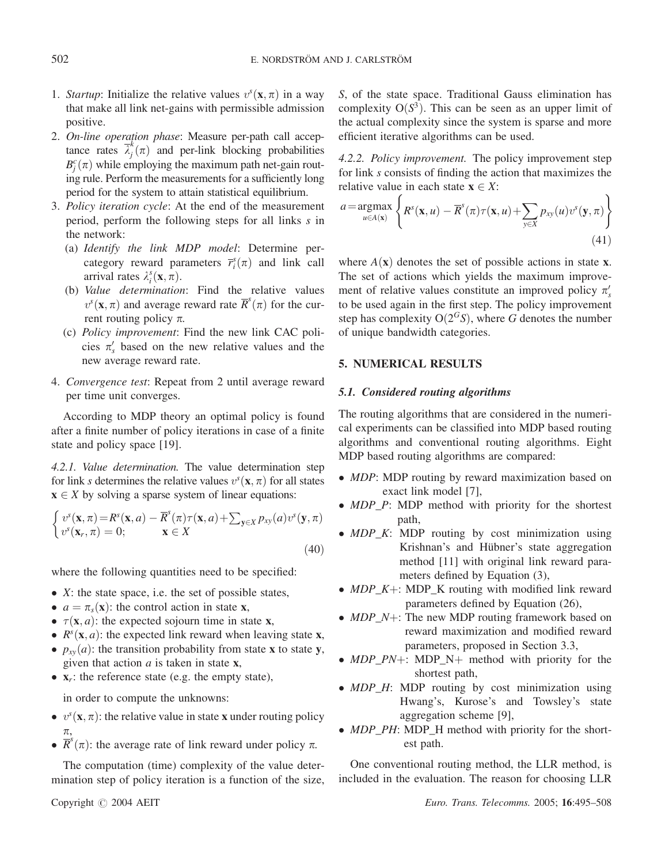- 1. Startup: Initialize the relative values  $v^s(\mathbf{x}, \pi)$  in a way that make all link net-gains with permissible admission positive.
- 2. On-line operation phase: Measure per-path call acceptance rates  $\overline{\lambda}_j^k(\pi)$  and per-link blocking probabilities  $B_j^c(\pi)$  while employing the maximum path net-gain routing rule. Perform the measurements for a sufficiently long period for the system to attain statistical equilibrium.
- 3. Policy iteration cycle: At the end of the measurement period, perform the following steps for all links s in the network:
	- (a) Identify the link MDP model: Determine percategory reward parameters  $\overline{r}_i^s(\pi)$  and link call arrival rates  $\lambda_i^s(\mathbf{x}, \pi)$ .
	- (b) Value determination: Find the relative values  $v^{s}(\mathbf{x}, \pi)$  and average reward rate  $\overline{R}^{s}(\pi)$  for the current routing policy  $\pi$ .
	- (c) Policy improvement: Find the new link CAC policies  $\pi_s$  based on the new relative values and the new average reward rate.
- 4. Convergence test: Repeat from 2 until average reward per time unit converges.

According to MDP theory an optimal policy is found after a finite number of policy iterations in case of a finite state and policy space [19].

4.2.1. Value determination. The value determination step for link s determines the relative values  $v^s(\mathbf{x}, \pi)$  for all states  $x \in X$  by solving a sparse system of linear equations:

$$
\begin{cases}\nv^s(\mathbf{x}, \pi) = R^s(\mathbf{x}, a) - \overline{R}^s(\pi)\tau(\mathbf{x}, a) + \sum_{\mathbf{y} \in X} p_{xy}(a)v^s(\mathbf{y}, \pi) \\
v^s(\mathbf{x}_r, \pi) = 0; & \mathbf{x} \in X\n\end{cases}
$$
\n(40)

where the following quantities need to be specified:

- $\bullet$  X: the state space, i.e. the set of possible states,
- $a = \pi_s(\mathbf{x})$ : the control action in state x,
- $\tau(\mathbf{x}, a)$ : the expected sojourn time in state **x**,
- $R^s(\mathbf{x}, a)$ : the expected link reward when leaving state **x**,
- $p_{xy}(a)$ : the transition probability from state x to state y, given that action  $a$  is taken in state  $x$ ,
- $X_r$ : the reference state (e.g. the empty state),

in order to compute the unknowns:

- $v^s$ (**x**,  $\pi$ ): the relative value in state **x** under routing policy  $\pi$ ,
- $\overline{R}^s(\pi)$ : the average rate of link reward under policy  $\pi$ .

The computation (time) complexity of the value determination step of policy iteration is a function of the size,

S, of the state space. Traditional Gauss elimination has complexity  $O(S^3)$ . This can be seen as an upper limit of the actual complexity since the system is sparse and more efficient iterative algorithms can be used.

4.2.2. Policy improvement. The policy improvement step for link s consists of finding the action that maximizes the relative value in each state  $\mathbf{x} \in X$ :

$$
a = \underset{u \in A(\mathbf{x})}{\operatorname{argmax}} \left\{ R^s(\mathbf{x}, u) - \overline{R}^s(\pi)\tau(\mathbf{x}, u) + \sum_{y \in X} p_{xy}(u)v^s(\mathbf{y}, \pi) \right\}
$$
(41)

where  $A(x)$  denotes the set of possible actions in state x. The set of actions which yields the maximum improvement of relative values constitute an improved policy  $\pi_s$ to be used again in the first step. The policy improvement step has complexity  $O(2^{G}S)$ , where G denotes the number of unique bandwidth categories.

# 5. NUMERICAL RESULTS

# 5.1. Considered routing algorithms

The routing algorithms that are considered in the numerical experiments can be classified into MDP based routing algorithms and conventional routing algorithms. Eight MDP based routing algorithms are compared:

- *MDP*: MDP routing by reward maximization based on exact link model [7],
- MDP P: MDP method with priority for the shortest path,
- MDP\_K: MDP routing by cost minimization using Krishnan's and Hübner's state aggregation method [11] with original link reward parameters defined by Equation (3),
- $\bullet$  MDP\_K+: MDP\_K routing with modified link reward parameters defined by Equation (26),
- $MDP_N$  +: The new MDP routing framework based on reward maximization and modified reward parameters, proposed in Section 3.3,
- $MDP\_PN$ +: MDP\_N+ method with priority for the shortest path,
- MDP H: MDP routing by cost minimization using Hwang's, Kurose's and Towsley's state aggregation scheme [9],
- MDP\_PH: MDP\_H method with priority for the shortest path.

One conventional routing method, the LLR method, is included in the evaluation. The reason for choosing LLR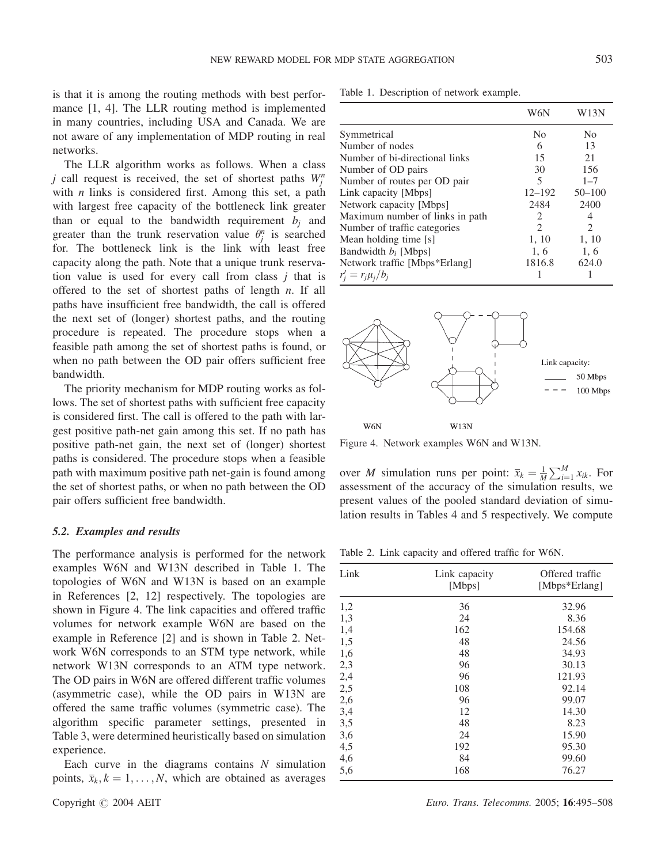is that it is among the routing methods with best performance [1, 4]. The LLR routing method is implemented in many countries, including USA and Canada. We are not aware of any implementation of MDP routing in real networks.

The LLR algorithm works as follows. When a class j call request is received, the set of shortest paths  $W_j^n$ with *n* links is considered first. Among this set, a path with largest free capacity of the bottleneck link greater than or equal to the bandwidth requirement  $b_i$  and greater than the trunk reservation value  $\theta_j^n$  is searched for. The bottleneck link is the link with least free capacity along the path. Note that a unique trunk reservation value is used for every call from class  $j$  that is offered to the set of shortest paths of length  $n$ . If all paths have insufficient free bandwidth, the call is offered the next set of (longer) shortest paths, and the routing procedure is repeated. The procedure stops when a feasible path among the set of shortest paths is found, or when no path between the OD pair offers sufficient free bandwidth.

The priority mechanism for MDP routing works as follows. The set of shortest paths with sufficient free capacity is considered first. The call is offered to the path with largest positive path-net gain among this set. If no path has positive path-net gain, the next set of (longer) shortest paths is considered. The procedure stops when a feasible path with maximum positive path net-gain is found among the set of shortest paths, or when no path between the OD pair offers sufficient free bandwidth.

#### 5.2. Examples and results

The performance analysis is performed for the network examples W6N and W13N described in Table 1. The topologies of W6N and W13N is based on an example in References [2, 12] respectively. The topologies are shown in Figure 4. The link capacities and offered traffic volumes for network example W6N are based on the example in Reference [2] and is shown in Table 2. Network W6N corresponds to an STM type network, while network W13N corresponds to an ATM type network. The OD pairs in W6N are offered different traffic volumes (asymmetric case), while the OD pairs in W13N are offered the same traffic volumes (symmetric case). The algorithm specific parameter settings, presented in Table 3, were determined heuristically based on simulation experience.

Each curve in the diagrams contains  $N$  simulation points,  $\overline{x}_k$ ,  $k = 1, \ldots, N$ , which are obtained as averages

Table 1. Description of network example.

|                                 | W6N            | W13N       |
|---------------------------------|----------------|------------|
| Symmetrical                     | N <sub>0</sub> | No         |
| Number of nodes                 | 6              | 13         |
| Number of bi-directional links  | 15             | 21         |
| Number of OD pairs              | 30             | 156        |
| Number of routes per OD pair    | 5              | $1 - 7$    |
| Link capacity [Mbps]            | $12 - 192$     | $50 - 100$ |
| Network capacity [Mbps]         | 2484           | 2400       |
| Maximum number of links in path | 2              | 4          |
| Number of traffic categories    | 2              | 2          |
| Mean holding time [s]           | 1, 10          | 1, 10      |
| Bandwidth $b_i$ [Mbps]          | 1, 6           | 1, 6       |
| Network traffic [Mbps*Erlang]   | 1816.8         | 624.0      |
| $r'_i = r_j \mu_j / b_j$        |                |            |



W6N  $W13N$ 

Figure 4. Network examples W6N and W13N.

over M simulation runs per point:  $\bar{x}_k = \frac{1}{M}$  $\sum_{i=1}^{M} x_{ik}$ . For assessment of the accuracy of the simulation results, we present values of the pooled standard deviation of simulation results in Tables 4 and 5 respectively. We compute

Table 2. Link capacity and offered traffic for W6N.

| Link | Link capacity<br>[Mbps] | Offered traffic<br>[Mbps*Erlang] |
|------|-------------------------|----------------------------------|
| 1,2  | 36                      | 32.96                            |
| 1,3  | 24                      | 8.36                             |
| 1,4  | 162                     | 154.68                           |
| 1,5  | 48                      | 24.56                            |
| 1,6  | 48                      | 34.93                            |
| 2,3  | 96                      | 30.13                            |
| 2,4  | 96                      | 121.93                           |
| 2,5  | 108                     | 92.14                            |
| 2,6  | 96                      | 99.07                            |
| 3,4  | 12                      | 14.30                            |
| 3,5  | 48                      | 8.23                             |
| 3,6  | 24                      | 15.90                            |
| 4,5  | 192                     | 95.30                            |
| 4,6  | 84                      | 99.60                            |
| 5,6  | 168                     | 76.27                            |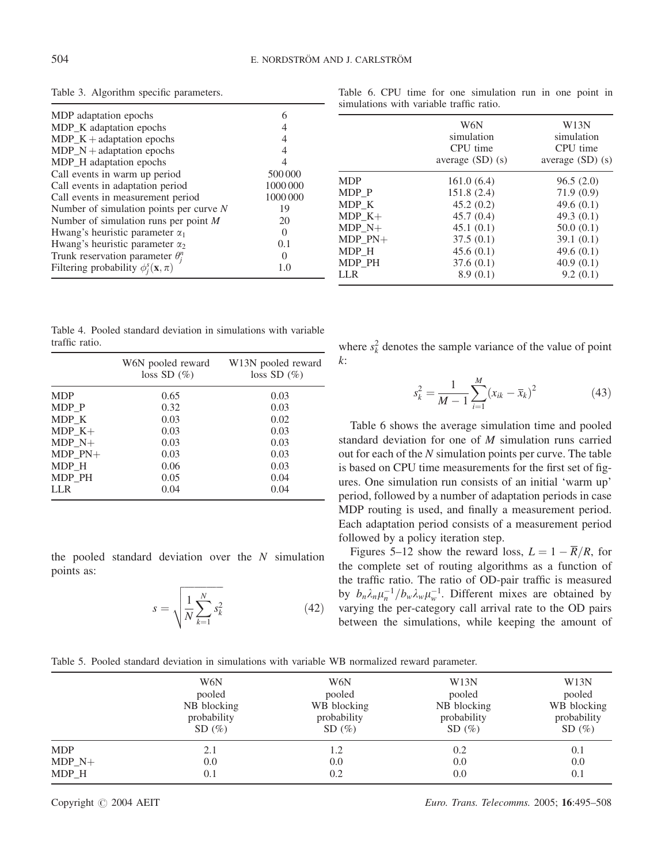| 500 000           |
|-------------------|
| 1000 000          |
| 1000 000          |
| 19                |
| 20                |
| $\mathbf{\Omega}$ |
| 0.1               |
|                   |
| 1(0)              |
|                   |

Table 3. Algorithm specific parameters.

Table 6. CPU time for one simulation run in one point in simulations with variable traffic ratio.

|             | W6N<br>simulation<br>CPU time<br>average $(SD)(s)$ | W13N<br>simulation<br>CPU time<br>average $(SD)(s)$ |
|-------------|----------------------------------------------------|-----------------------------------------------------|
| <b>MDP</b>  | 161.0(6.4)                                         | 96.5(2.0)                                           |
| MDP P       | 151.8 (2.4)                                        | 71.9(0.9)                                           |
| MDP K       | 45.2(0.2)                                          | 49.6 $(0.1)$                                        |
| $MDP_K+$    | 45.7(0.4)                                          | 49.3 $(0.1)$                                        |
| $MDP N+$    | 45.1(0.1)                                          | 50.0(0.1)                                           |
| $MDP$ $PN+$ | 37.5(0.1)                                          | 39.1(0.1)                                           |
| MDP H       | 45.6(0.1)                                          | 49.6 $(0.1)$                                        |
| MDP PH      | 37.6(0.1)                                          | 40.9(0.1)                                           |
| LLR         | 8.9(0.1)                                           | 9.2(0.1)                                            |

Table 4. Pooled standard deviation in simulations with variable traffic ratio.

|            | W6N pooled reward<br>$loss SD (\%)$ | W <sub>13</sub> N pooled reward<br>$loss SD (\%)$ |
|------------|-------------------------------------|---------------------------------------------------|
| <b>MDP</b> | 0.65                                | 0.03                                              |
| MDP P      | 0.32                                | 0.03                                              |
| MDP_K      | 0.03                                | 0.02                                              |
| MDP $K+$   | 0.03                                | 0.03                                              |
| $MDP N+$   | 0.03                                | 0.03                                              |
| MDP $PN+$  | 0.03                                | 0.03                                              |
| MDP H      | 0.06                                | 0.03                                              |
| MDP PH     | 0.05                                | 0.04                                              |
| LL R       | 0.04                                | 0.04                                              |

the pooled standard deviation over the  $N$  simulation points as:

$$
s = \sqrt{\frac{1}{N} \sum_{k=1}^{N} s_k^2}
$$
 (42)

where  $s_k^2$  denotes the sample variance of the value of point k:

$$
s_k^2 = \frac{1}{M-1} \sum_{i=1}^{M} (x_{ik} - \bar{x}_k)^2
$$
 (43)

Table 6 shows the average simulation time and pooled standard deviation for one of M simulation runs carried out for each of the  $N$  simulation points per curve. The table is based on CPU time measurements for the first set of figures. One simulation run consists of an initial 'warm up' period, followed by a number of adaptation periods in case MDP routing is used, and finally a measurement period. Each adaptation period consists of a measurement period followed by a policy iteration step.

Figures 5–12 show the reward loss,  $L = 1 - \overline{R}/R$ , for the complete set of routing algorithms as a function of the traffic ratio. The ratio of OD-pair traffic is measured by  $b_n \lambda_n \mu_n^{-1} / b_w \lambda_w \mu_w^{-1}$ . Different mixes are obtained by varying the per-category call arrival rate to the OD pairs between the simulations, while keeping the amount of

|  |  |  |  |  | Table 5. Pooled standard deviation in simulations with variable WB normalized reward parameter. |  |  |  |  |  |  |
|--|--|--|--|--|-------------------------------------------------------------------------------------------------|--|--|--|--|--|--|
|--|--|--|--|--|-------------------------------------------------------------------------------------------------|--|--|--|--|--|--|

|            | W6N<br>pooled                          | W6N<br>pooled                          | W13N<br>pooled                         | W13N<br>pooled                         |
|------------|----------------------------------------|----------------------------------------|----------------------------------------|----------------------------------------|
|            | NB blocking<br>probability<br>$SD(\%)$ | WB blocking<br>probability<br>$SD(\%)$ | NB blocking<br>probability<br>$SD(\%)$ | WB blocking<br>probability<br>$SD(\%)$ |
| <b>MDP</b> | 2.1                                    | 1.2                                    | 0.2                                    | 0.1                                    |
| $MDP N+$   | 0.0                                    | 0.0                                    | 0.0                                    | 0.0                                    |
| MDP_H      | 0.1                                    | 0.2                                    | 0.0                                    | 0.1                                    |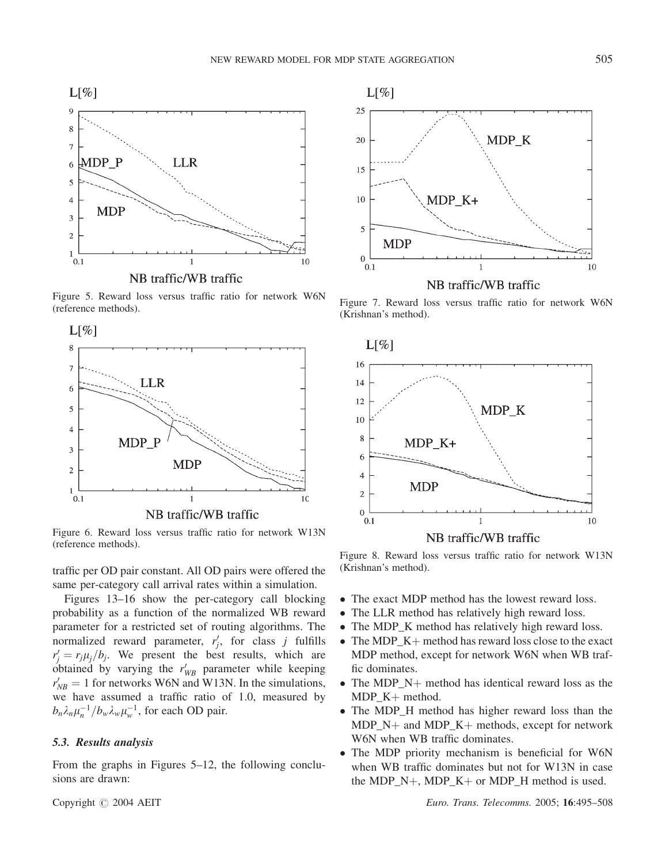

Figure 5. Reward loss versus traffic ratio for network W6N (reference methods).



Figure 6. Reward loss versus traffic ratio for network W13N (reference methods).

traffic per OD pair constant. All OD pairs were offered the same per-category call arrival rates within a simulation.

Figures 13–16 show the per-category call blocking probability as a function of the normalized WB reward parameter for a restricted set of routing algorithms. The normalized reward parameter,  $r'_j$ , for class j fulfills  $r'_j = r_j \mu_j / b_j$ . We present the best results, which are obtained by varying the  $r'_{WB}$  parameter while keeping  $r'_{NB} = 1$  for networks W6N and W13N. In the simulations, we have assumed a traffic ratio of 1.0, measured by  $b_n \lambda_n \mu_n^{-1} / b_w \lambda_w \mu_w^{-1}$ , for each OD pair.

#### 5.3. Results analysis

From the graphs in Figures 5–12, the following conclusions are drawn:



Figure 7. Reward loss versus traffic ratio for network W6N (Krishnan's method).



Figure 8. Reward loss versus traffic ratio for network W13N (Krishnan's method).

- The exact MDP method has the lowest reward loss.
- The LLR method has relatively high reward loss.
- The MDP\_K method has relatively high reward loss.
- The MDP  $K+$  method has reward loss close to the exact MDP method, except for network W6N when WB traffic dominates.
- The MDP\_N+ method has identical reward loss as the MDP $K+$  method.
- The MDP\_H method has higher reward loss than the MDP\_N+ and MDP\_K+ methods, except for network W6N when WB traffic dominates.
- The MDP priority mechanism is beneficial for W6N when WB traffic dominates but not for W13N in case the MDP\_N+, MDP\_K+ or MDP\_H method is used.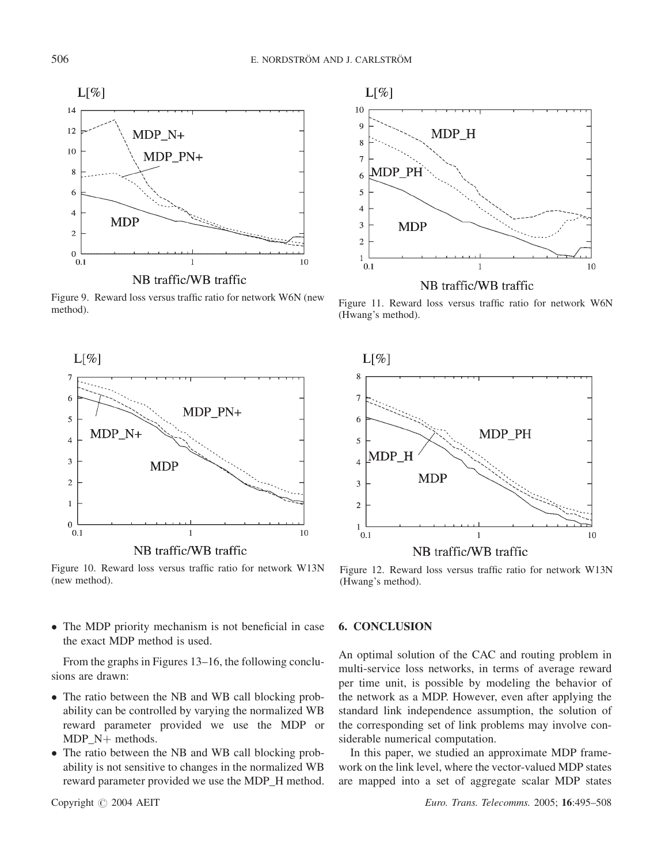

Figure 9. Reward loss versus traffic ratio for network W6N (new method).



Figure 10. Reward loss versus traffic ratio for network W13N (new method).

 The MDP priority mechanism is not beneficial in case the exact MDP method is used.

From the graphs in Figures 13–16, the following conclusions are drawn:

- The ratio between the NB and WB call blocking probability can be controlled by varying the normalized WB reward parameter provided we use the MDP or MDP $N+$  methods.
- The ratio between the NB and WB call blocking probability is not sensitive to changes in the normalized WB reward parameter provided we use the MDP\_H method.



Figure 11. Reward loss versus traffic ratio for network W6N (Hwang's method).



Figure 12. Reward loss versus traffic ratio for network W13N (Hwang's method).

#### 6. CONCLUSION

An optimal solution of the CAC and routing problem in multi-service loss networks, in terms of average reward per time unit, is possible by modeling the behavior of the network as a MDP. However, even after applying the standard link independence assumption, the solution of the corresponding set of link problems may involve considerable numerical computation.

In this paper, we studied an approximate MDP framework on the link level, where the vector-valued MDP states are mapped into a set of aggregate scalar MDP states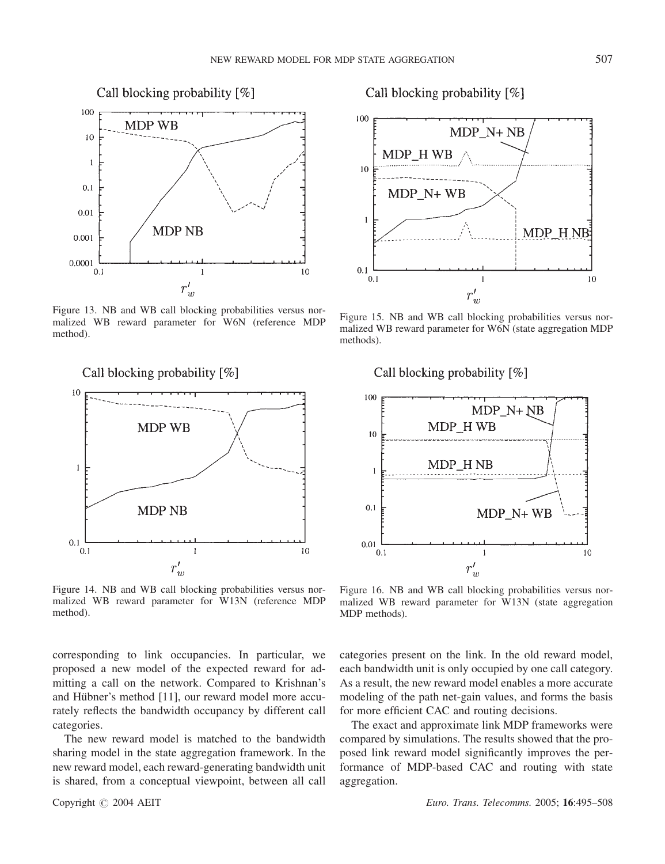

Figure 13. NB and WB call blocking probabilities versus normalized WB reward parameter for W6N (reference MDP method).

Call blocking probability [%]



Figure 14. NB and WB call blocking probabilities versus normalized WB reward parameter for W13N (reference MDP method).

corresponding to link occupancies. In particular, we proposed a new model of the expected reward for admitting a call on the network. Compared to Krishnan's and Hübner's method [11], our reward model more accurately reflects the bandwidth occupancy by different call categories.

The new reward model is matched to the bandwidth sharing model in the state aggregation framework. In the new reward model, each reward-generating bandwidth unit is shared, from a conceptual viewpoint, between all call

Call blocking probability  $[\%]$ 



Figure 15. NB and WB call blocking probabilities versus normalized WB reward parameter for W6N (state aggregation MDP methods).

Call blocking probability [%]



Figure 16. NB and WB call blocking probabilities versus normalized WB reward parameter for W13N (state aggregation MDP methods).

categories present on the link. In the old reward model, each bandwidth unit is only occupied by one call category. As a result, the new reward model enables a more accurate modeling of the path net-gain values, and forms the basis for more efficient CAC and routing decisions.

The exact and approximate link MDP frameworks were compared by simulations. The results showed that the proposed link reward model significantly improves the performance of MDP-based CAC and routing with state aggregation.